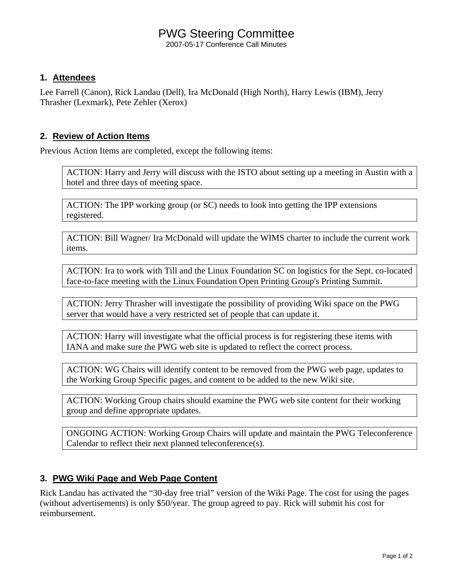# PWG Steering Committee

2007-05-17 Conference Call Minutes

### **1. Attendees**

Lee Farrell (Canon), Rick Landau (Dell), Ira McDonald (High North), Harry Lewis (IBM), Jerry Thrasher (Lexmark), Pete Zehler (Xerox)

## **2. Review of Action Items**

Previous Action Items are completed, except the following items:

ACTION: Harry and Jerry will discuss with the ISTO about setting up a meeting in Austin with a hotel and three days of meeting space.

ACTION: The IPP working group (or SC) needs to look into getting the IPP extensions registered.

ACTION: Bill Wagner/ Ira McDonald will update the WIMS charter to include the current work items.

ACTION: Ira to work with Till and the Linux Foundation SC on logistics for the Sept. co-located face-to-face meeting with the Linux Foundation Open Printing Group's Printing Summit.

ACTION: Jerry Thrasher will investigate the possibility of providing Wiki space on the PWG server that would have a very restricted set of people that can update it.

ACTION: Harry will investigate what the official process is for registering these items with IANA and make sure the PWG web site is updated to reflect the correct process.

ACTION: WG Chairs will identify content to be removed from the PWG web page, updates to the Working Group Specific pages, and content to be added to the new Wiki site.

ACTION: Working Group chairs should examine the PWG web site content for their working group and define appropriate updates.

ONGOING ACTION: Working Group Chairs will update and maintain the PWG Teleconference Calendar to reflect their next planned teleconference(s).

# **3. PWG Wiki Page and Web Page Content**

Rick Landau has activated the "30-day free trial" version of the Wiki Page. The cost for using the pages (without advertisements) is only \$50/year. The group agreed to pay. Rick will submit his cost for reimbursement.